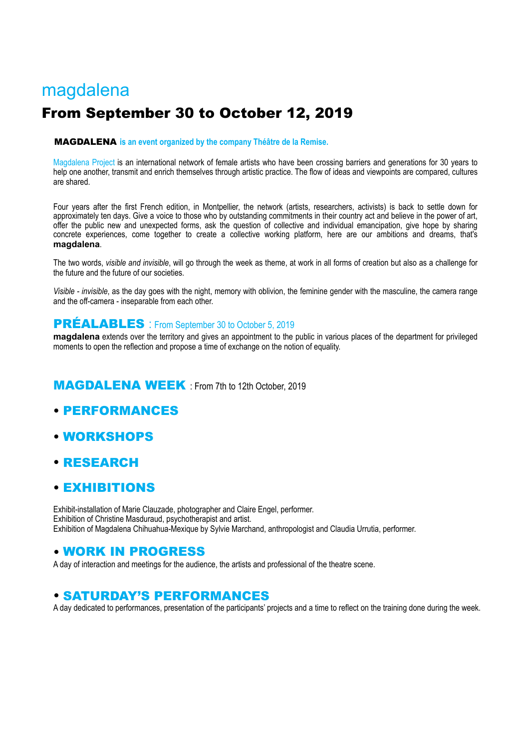# magdalena

## From September 30 to October 12, 2019

#### MAGDALENA **is an event organized by the company Théâtre de la Remise.**

Magdalena Project is an international network of female artists who have been crossing barriers and generations for 30 years to help one another, transmit and enrich themselves through artistic practice. The flow of ideas and viewpoints are compared, cultures are shared.

Four years after the first French edition, in Montpellier, the network (artists, researchers, activists) is back to settle down for approximately ten days. Give a voice to those who by outstanding commitments in their country act and believe in the power of art, offer the public new and unexpected forms, ask the question of collective and individual emancipation, give hope by sharing concrete experiences, come together to create a collective working platform, here are our ambitions and dreams, that's **magdalena**.

The two words, *visible and invisible*, will go through the week as theme, at work in all forms of creation but also as a challenge for the future and the future of our societies.

*Visible - invisible*, as the day goes with the night, memory with oblivion, the feminine gender with the masculine, the camera range and the off-camera - inseparable from each other.

## PRÉALABLES : From September 30 to October 5, 2019

**magdalena** extends over the territory and gives an appointment to the public in various places of the department for privileged moments to open the reflection and propose a time of exchange on the notion of equality.

### **MAGDALENA WEEK** From 7th to 12th October, 2019

- PERFORMANCES
- WORKSHOPS
- RESEARCH
- EXHIBITIONS

Exhibit-installation of Marie Clauzade, photographer and Claire Engel, performer. Exhibition of Christine Masduraud, psychotherapist and artist. Exhibition of Magdalena Chihuahua-Mexique by Sylvie Marchand, anthropologist and Claudia Urrutia, performer.

## • WORK IN PROGRESS

A day of interaction and meetings for the audience, the artists and professional of the theatre scene.

## • SATURDAY'S PERFORMANCES

A day dedicated to performances, presentation of the participants' projects and a time to reflect on the training done during the week.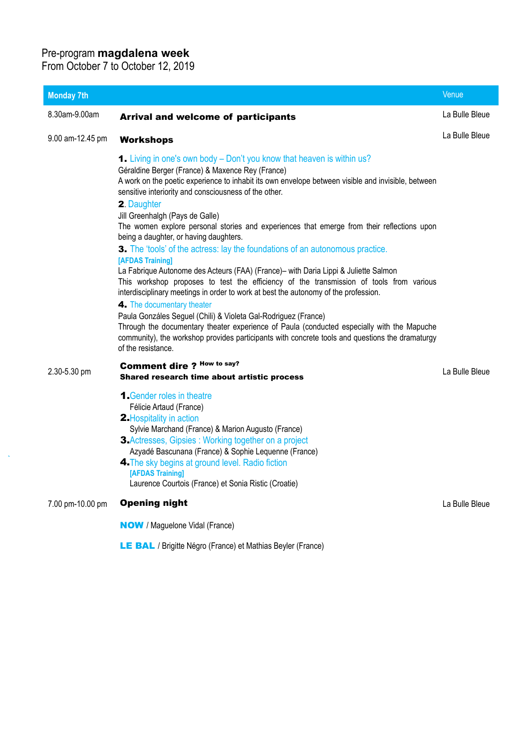### Pre-program **magdalena week**

From October 7 to October 12, 2019

 $\overline{\phantom{a}}$ 

| <b>Monday 7th</b> |                                                                                                                                                                                                                                                                                                                                                                                                                                                                                                                                                                                                                                                                                                                                                                                                                                                                                                                                                                                                                                                                                                                                                                                                 | Venue          |
|-------------------|-------------------------------------------------------------------------------------------------------------------------------------------------------------------------------------------------------------------------------------------------------------------------------------------------------------------------------------------------------------------------------------------------------------------------------------------------------------------------------------------------------------------------------------------------------------------------------------------------------------------------------------------------------------------------------------------------------------------------------------------------------------------------------------------------------------------------------------------------------------------------------------------------------------------------------------------------------------------------------------------------------------------------------------------------------------------------------------------------------------------------------------------------------------------------------------------------|----------------|
| 8.30am-9.00am     | <b>Arrival and welcome of participants</b>                                                                                                                                                                                                                                                                                                                                                                                                                                                                                                                                                                                                                                                                                                                                                                                                                                                                                                                                                                                                                                                                                                                                                      | La Bulle Bleue |
| 9.00 am-12.45 pm  | <b>Workshops</b>                                                                                                                                                                                                                                                                                                                                                                                                                                                                                                                                                                                                                                                                                                                                                                                                                                                                                                                                                                                                                                                                                                                                                                                | La Bulle Bleue |
|                   | <b>1.</b> Living in one's own body – Don't you know that heaven is within us?<br>Géraldine Berger (France) & Maxence Rey (France)<br>A work on the poetic experience to inhabit its own envelope between visible and invisible, between<br>sensitive interiority and consciousness of the other.<br>2. Daughter<br>Jill Greenhalgh (Pays de Galle)<br>The women explore personal stories and experiences that emerge from their reflections upon<br>being a daughter, or having daughters.<br>3. The 'tools' of the actress: lay the foundations of an autonomous practice.<br>[AFDAS Training]<br>La Fabrique Autonome des Acteurs (FAA) (France)- with Daria Lippi & Juliette Salmon<br>This workshop proposes to test the efficiency of the transmission of tools from various<br>interdisciplinary meetings in order to work at best the autonomy of the profession.<br>4. The documentary theater<br>Paula Gonzáles Seguel (Chili) & Violeta Gal-Rodriguez (France)<br>Through the documentary theater experience of Paula (conducted especially with the Mapuche<br>community), the workshop provides participants with concrete tools and questions the dramaturgy<br>of the resistance. |                |
| 2.30-5.30 pm      | <b>Comment dire ? How to say?</b><br>Shared research time about artistic process                                                                                                                                                                                                                                                                                                                                                                                                                                                                                                                                                                                                                                                                                                                                                                                                                                                                                                                                                                                                                                                                                                                | La Bulle Bleue |
|                   | <b>1. Gender roles in theatre</b><br>Félicie Artaud (France)<br><b>2. Hospitality in action</b><br>Sylvie Marchand (France) & Marion Augusto (France)<br><b>3.</b> Actresses, Gipsies: Working together on a project<br>Azyadé Bascunana (France) & Sophie Lequenne (France)<br>4. The sky begins at ground level. Radio fiction<br>[AFDAS Training]<br>Laurence Courtois (France) et Sonia Ristic (Croatie)                                                                                                                                                                                                                                                                                                                                                                                                                                                                                                                                                                                                                                                                                                                                                                                    |                |
| 7.00 pm-10.00 pm  | <b>Opening night</b>                                                                                                                                                                                                                                                                                                                                                                                                                                                                                                                                                                                                                                                                                                                                                                                                                                                                                                                                                                                                                                                                                                                                                                            | La Bulle Bleue |
|                   | <b>NOW</b> / Maguelone Vidal (France)                                                                                                                                                                                                                                                                                                                                                                                                                                                                                                                                                                                                                                                                                                                                                                                                                                                                                                                                                                                                                                                                                                                                                           |                |
|                   | <b>LE BAL</b> / Brigitte Négro (France) et Mathias Beyler (France)                                                                                                                                                                                                                                                                                                                                                                                                                                                                                                                                                                                                                                                                                                                                                                                                                                                                                                                                                                                                                                                                                                                              |                |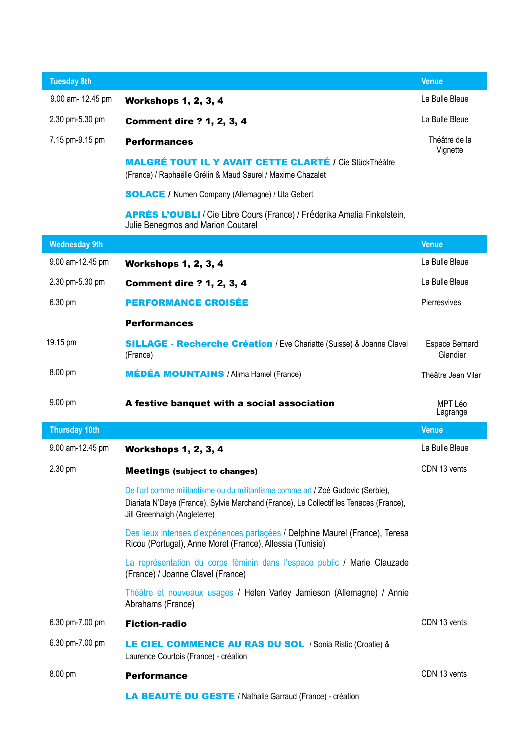| <b>Tuesday 8th</b>   |                                                                                                                                                                                                            | <b>Venue</b>                      |
|----------------------|------------------------------------------------------------------------------------------------------------------------------------------------------------------------------------------------------------|-----------------------------------|
| 9.00 am- 12.45 pm    | <b>Workshops 1, 2, 3, 4</b>                                                                                                                                                                                | La Bulle Bleue                    |
| 2.30 pm-5.30 pm      | <b>Comment dire ? 1, 2, 3, 4</b>                                                                                                                                                                           | La Bulle Bleue                    |
| 7.15 pm-9.15 pm      | <b>Performances</b>                                                                                                                                                                                        | Théâtre de la<br>Vignette         |
|                      | <b>MALGRÉ TOUT IL Y AVAIT CETTE CLARTÉ / Cie StückThéâtre</b><br>(France) / Raphaëlle Grélin & Maud Saurel / Maxime Chazalet                                                                               |                                   |
|                      | <b>SOLACE / Numen Company (Allemagne) / Uta Gebert</b>                                                                                                                                                     |                                   |
|                      | <b>APRÈS L'OUBLI / Cie Libre Cours (France) / Fréderika Amalia Finkelstein,</b><br>Julie Benegmos and Marion Coutarel                                                                                      |                                   |
| <b>Wednesday 9th</b> |                                                                                                                                                                                                            | <b>Venue</b>                      |
| 9.00 am-12.45 pm     | <b>Workshops 1, 2, 3, 4</b>                                                                                                                                                                                | La Bulle Bleue                    |
| 2.30 pm-5.30 pm      | <b>Comment dire ? 1, 2, 3, 4</b>                                                                                                                                                                           | La Bulle Bleue                    |
| 6.30 pm              | <b>PERFORMANCE CROISÉE</b>                                                                                                                                                                                 | Pierresvives                      |
|                      | <b>Performances</b>                                                                                                                                                                                        |                                   |
| 19.15 pm             | <b>SILLAGE - Recherche Création / Eve Chariatte (Suisse) &amp; Joanne Clavel</b><br>(France)                                                                                                               | <b>Espace Bernard</b><br>Glandier |
| 8.00 pm              | <b>MÉDÉA MOUNTAINS / Alima Hamel (France)</b>                                                                                                                                                              | Théâtre Jean Vilar                |
|                      |                                                                                                                                                                                                            |                                   |
| 9.00 pm              | A festive banquet with a social association                                                                                                                                                                | MPT Léo<br>Lagrange               |
| <b>Thursday 10th</b> |                                                                                                                                                                                                            | <b>Venue</b>                      |
| 9.00 am-12.45 pm     | <b>Workshops 1, 2, 3, 4</b>                                                                                                                                                                                | La Bulle Bleue                    |
| 2.30 pm              | <b>Meetings (subject to changes)</b>                                                                                                                                                                       | CDN 13 vents                      |
|                      | De l'art comme militantisme ou du militantisme comme art / Zoé Gudovic (Serbie),<br>Diariata N'Daye (France), Sylvie Marchand (France), Le Collectif les Tenaces (France),<br>Jill Greenhalgh (Angleterre) |                                   |
|                      | Des lieux intenses d'expériences partagées / Delphine Maurel (France), Teresa<br>Ricou (Portugal), Anne Morel (France), Allessia (Tunisie)                                                                 |                                   |
|                      | La représentation du corps féminin dans l'espace public / Marie Clauzade<br>(France) / Joanne Clavel (France)                                                                                              |                                   |
|                      | Théâtre et nouveaux usages / Helen Varley Jamieson (Allemagne) / Annie<br>Abrahams (France)                                                                                                                |                                   |
| 6.30 pm-7.00 pm      | <b>Fiction-radio</b>                                                                                                                                                                                       | CDN 13 vents                      |
| 6.30 pm-7.00 pm      | <b>LE CIEL COMMENCE AU RAS DU SOL / Sonia Ristic (Croatie) &amp;</b><br>Laurence Courtois (France) - création                                                                                              |                                   |
| 8.00 pm              | <b>Performance</b>                                                                                                                                                                                         | CDN 13 vents                      |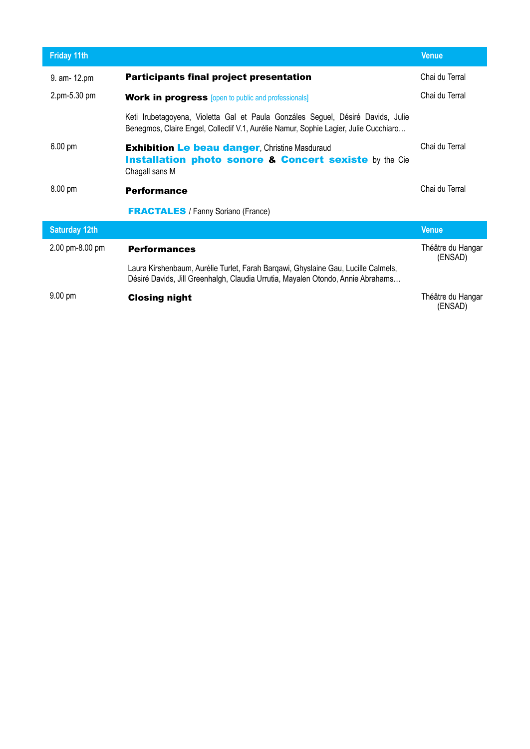| <b>Friday 11th</b>   |                                                                                                                                                                         | <b>Venue</b>                 |
|----------------------|-------------------------------------------------------------------------------------------------------------------------------------------------------------------------|------------------------------|
| 9. am- 12.pm         | <b>Participants final project presentation</b>                                                                                                                          | Chai du Terral               |
| 2.pm-5.30 pm         | <b>Work in progress</b> [open to public and professionals]                                                                                                              | Chai du Terral               |
|                      | Keti Irubetagoyena, Violetta Gal et Paula Gonzáles Seguel, Désiré Davids, Julie<br>Benegmos, Claire Engel, Collectif V.1, Aurélie Namur, Sophie Lagier, Julie Cucchiaro |                              |
| $6.00 \text{ pm}$    | <b>Exhibition Le beau danger, Christine Masduraud</b><br><b>Installation photo sonore &amp; Concert sexiste by the Cie</b><br>Chagall sans M                            | Chai du Terral               |
| 8.00 pm              | <b>Performance</b>                                                                                                                                                      | Chai du Terral               |
|                      | <b>FRACTALES</b> / Fanny Soriano (France)                                                                                                                               |                              |
| <b>Saturday 12th</b> |                                                                                                                                                                         | <b>Venue</b>                 |
| 2.00 pm-8.00 pm      | <b>Performances</b>                                                                                                                                                     | Théâtre du Hangar<br>(ENSAD) |
|                      | Laura Kirshenbaum, Aurélie Turlet, Farah Barqawi, Ghyslaine Gau, Lucille Calmels,<br>Désiré Davids, Jill Greenhalgh, Claudia Urrutia, Mayalen Otondo, Annie Abrahams    |                              |
| $9.00 \text{ pm}$    | <b>Closing night</b>                                                                                                                                                    | Théâtre du Hangar<br>(ENSAD) |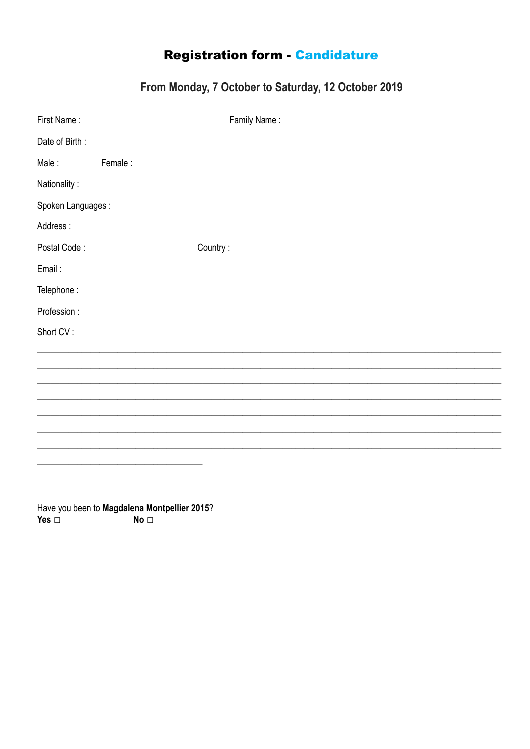## **Registration form - Candidature**

## From Monday, 7 October to Saturday, 12 October 2019

| First Name:       |         | Family Name: |
|-------------------|---------|--------------|
| Date of Birth:    |         |              |
| Male:             | Female: |              |
| Nationality:      |         |              |
| Spoken Languages: |         |              |
| Address:          |         |              |
| Postal Code:      |         | Country:     |
| Email:            |         |              |
| Telephone:        |         |              |
| Profession:       |         |              |
| Short CV:         |         |              |
|                   |         |              |
|                   |         |              |
|                   |         |              |
|                   |         |              |
|                   |         |              |
|                   |         |              |
|                   |         |              |

Have you been to Magdalena Montpellier 2015? Yes  $\overrightarrow{a}$  $No<sub>1</sub>$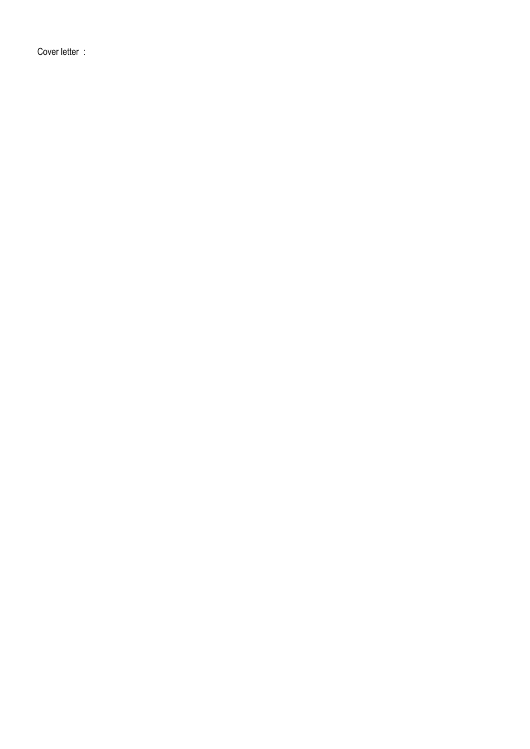Cover letter :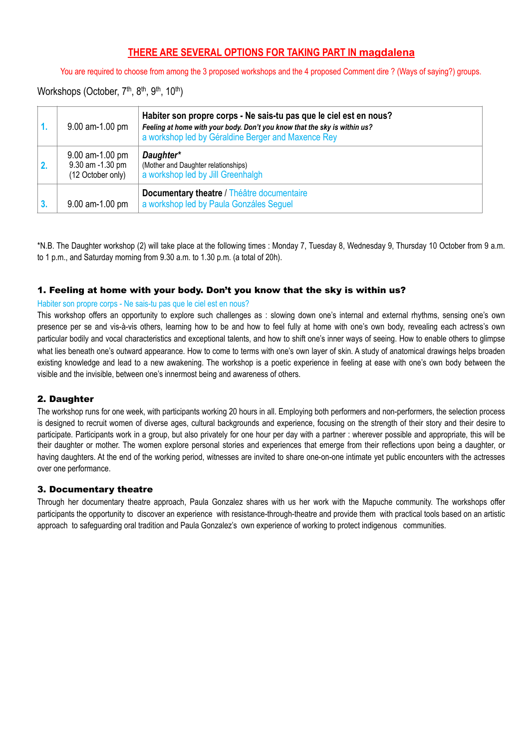### **THERE ARE SEVERAL OPTIONS FOR TAKING PART IN magdalena**

You are required to choose from among the 3 proposed workshops and the 4 proposed Comment dire ? (Ways of saying?) groups.

Workshops (October, 7<sup>th</sup>, 8<sup>th</sup>, 9<sup>th</sup>, 10<sup>th</sup>)

| 1. | $9.00$ am-1.00 pm                                        | Habiter son propre corps - Ne sais-tu pas que le ciel est en nous?<br>Feeling at home with your body. Don't you know that the sky is within us?<br>a workshop led by Géraldine Berger and Maxence Rey |
|----|----------------------------------------------------------|-------------------------------------------------------------------------------------------------------------------------------------------------------------------------------------------------------|
|    | 9.00 am-1.00 pm<br>9.30 am -1.30 pm<br>(12 October only) | Daughter*<br>(Mother and Daughter relationships)<br>a workshop led by Jill Greenhalgh                                                                                                                 |
| 3. | $9.00$ am-1.00 pm                                        | Documentary theatre / Théâtre documentaire<br>a workshop led by Paula Gonzáles Seguel                                                                                                                 |

\*N.B. The Daughter workshop (2) will take place at the following times : Monday 7, Tuesday 8, Wednesday 9, Thursday 10 October from 9 a.m. to 1 p.m., and Saturday morning from 9.30 a.m. to 1.30 p.m. (a total of 20h).

#### 1. Feeling at home with your body. Don't you know that the sky is within us?

#### Habiter son propre corps - Ne sais-tu pas que le ciel est en nous?

This workshop offers an opportunity to explore such challenges as : slowing down one's internal and external rhythms, sensing one's own presence per se and vis-à-vis others, learning how to be and how to feel fully at home with one's own body, revealing each actress's own particular bodily and vocal characteristics and exceptional talents, and how to shift one's inner ways of seeing. How to enable others to glimpse what lies beneath one's outward appearance. How to come to terms with one's own layer of skin. A study of anatomical drawings helps broaden existing knowledge and lead to a new awakening. The workshop is a poetic experience in feeling at ease with one's own body between the visible and the invisible, between one's innermost being and awareness of others.

#### 2. Daughter

The workshop runs for one week, with participants working 20 hours in all. Employing both performers and non-performers, the selection process is designed to recruit women of diverse ages, cultural backgrounds and experience, focusing on the strength of their story and their desire to participate. Participants work in a group, but also privately for one hour per day with a partner : wherever possible and appropriate, this will be their daughter or mother. The women explore personal stories and experiences that emerge from their reflections upon being a daughter, or having daughters. At the end of the working period, witnesses are invited to share one-on-one intimate yet public encounters with the actresses over one performance.

#### 3. Documentary theatre

Through her documentary theatre approach, Paula Gonzalez shares with us her work with the Mapuche community. The workshops offer participants the opportunity to discover an experience with resistance-through-theatre and provide them with practical tools based on an artistic approach to safeguarding oral tradition and Paula Gonzalez's own experience of working to protect indigenous communities.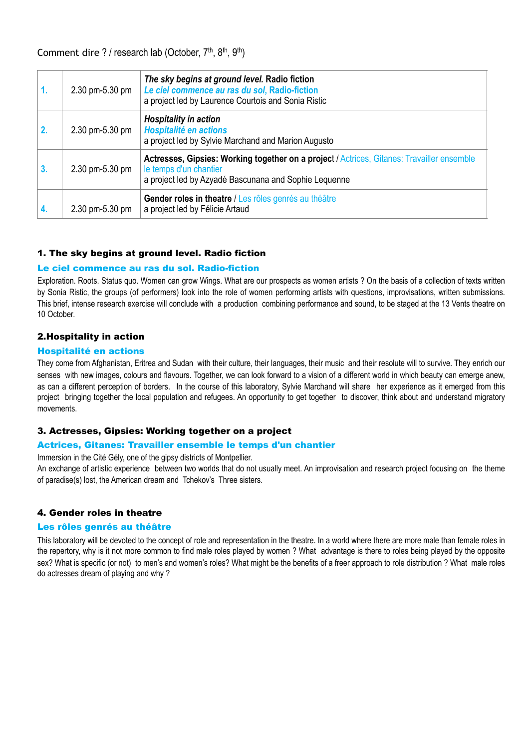| 1. | 2.30 pm-5.30 pm | The sky begins at ground level. Radio fiction<br>Le ciel commence au ras du sol, Radio-fiction<br>a project led by Laurence Courtois and Sonia Ristic                         |
|----|-----------------|-------------------------------------------------------------------------------------------------------------------------------------------------------------------------------|
| 2. | 2.30 pm-5.30 pm | <b>Hospitality in action</b><br>Hospitalité en actions<br>a project led by Sylvie Marchand and Marion Augusto                                                                 |
| 3. | 2.30 pm-5.30 pm | Actresses, Gipsies: Working together on a project / Actrices, Gitanes: Travailler ensemble<br>le temps d'un chantier<br>a project led by Azyadé Bascunana and Sophie Lequenne |
| 4. | 2.30 pm-5.30 pm | Gender roles in theatre / Les rôles genrés au théâtre<br>a project led by Félicie Artaud                                                                                      |

#### 1. The sky begins at ground level. Radio fiction

#### Le ciel commence au ras du sol. Radio-fiction

Exploration. Roots. Status quo. Women can grow Wings. What are our prospects as women artists ? On the basis of a collection of texts written by Sonia Ristic, the groups (of performers) look into the role of women performing artists with questions, improvisations, written submissions. This brief, intense research exercise will conclude with a production combining performance and sound, to be staged at the 13 Vents theatre on 10 October.

#### 2.Hospitality in action

#### Hospitalité en actions

They come from Afghanistan, Eritrea and Sudan with their culture, their languages, their music and their resolute will to survive. They enrich our senses with new images, colours and flavours. Together, we can look forward to a vision of a different world in which beauty can emerge anew, as can a different perception of borders. In the course of this laboratory, Sylvie Marchand will share her experience as it emerged from this project bringing together the local population and refugees. An opportunity to get together to discover, think about and understand migratory movements.

#### 3. Actresses, Gipsies: Working together on a project

#### Actrices, Gitanes: Travailler ensemble le temps d'un chantier

Immersion in the Cité Gély, one of the gipsy districts of Montpellier.

An exchange of artistic experience between two worlds that do not usually meet. An improvisation and research project focusing on the theme of paradise(s) lost, the American dream and Tchekov's Three sisters.

#### 4. Gender roles in theatre

#### Les rôles genrés au théâtre

This laboratory will be devoted to the concept of role and representation in the theatre. In a world where there are more male than female roles in the repertory, why is it not more common to find male roles played by women ? What advantage is there to roles being played by the opposite sex? What is specific (or not) to men's and women's roles? What might be the benefits of a freer approach to role distribution ? What male roles do actresses dream of playing and why ?